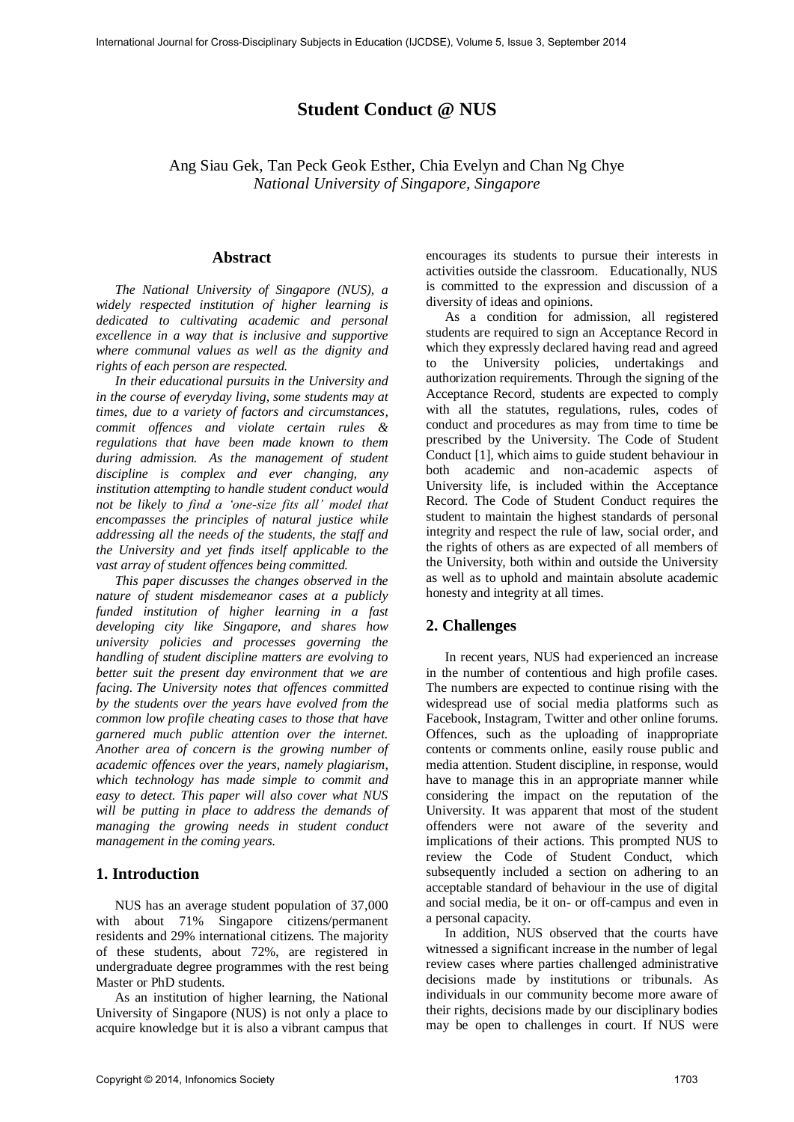# **Student Conduct @ NUS**

Ang Siau Gek, Tan Peck Geok Esther, Chia Evelyn and Chan Ng Chye *National University of Singapore, Singapore* 

#### **Abstract**

*The National University of Singapore (NUS), a widely respected institution of higher learning is dedicated to cultivating academic and personal excellence in a way that is inclusive and supportive where communal values as well as the dignity and rights of each person are respected.* 

*In their educational pursuits in the University and in the course of everyday living, some students may at times, due to a variety of factors and circumstances, commit offences and violate certain rules & regulations that have been made known to them during admission. As the management of student discipline is complex and ever changing, any institution attempting to handle student conduct would not be likely to find a 'one-size fits all' model that encompasses the principles of natural justice while addressing all the needs of the students, the staff and the University and yet finds itself applicable to the vast array of student offences being committed.* 

*This paper discusses the changes observed in the nature of student misdemeanor cases at a publicly funded institution of higher learning in a fast developing city like Singapore, and shares how university policies and processes governing the handling of student discipline matters are evolving to better suit the present day environment that we are facing. The University notes that offences committed by the students over the years have evolved from the common low profile cheating cases to those that have garnered much public attention over the internet. Another area of concern is the growing number of academic offences over the years, namely plagiarism, which technology has made simple to commit and easy to detect. This paper will also cover what NUS will be putting in place to address the demands of managing the growing needs in student conduct management in the coming years.* 

## **1. Introduction**

NUS has an average student population of 37,000 with about 71% Singapore citizens/permanent residents and 29% international citizens. The majority of these students, about 72%, are registered in undergraduate degree programmes with the rest being Master or PhD students.

As an institution of higher learning, the National University of Singapore (NUS) is not only a place to acquire knowledge but it is also a vibrant campus that encourages its students to pursue their interests in activities outside the classroom. Educationally, NUS is committed to the expression and discussion of a diversity of ideas and opinions.

As a condition for admission, all registered students are required to sign an Acceptance Record in which they expressly declared having read and agreed to the University policies, undertakings and authorization requirements. Through the signing of the Acceptance Record, students are expected to comply with all the statutes, regulations, rules, codes of conduct and procedures as may from time to time be prescribed by the University. The Code of Student Conduct [1], which aims to guide student behaviour in both academic and non-academic aspects of University life, is included within the Acceptance Record. The Code of Student Conduct requires the student to maintain the highest standards of personal integrity and respect the rule of law, social order, and the rights of others as are expected of all members of the University, both within and outside the University as well as to uphold and maintain absolute academic honesty and integrity at all times.

## **2. Challenges**

In recent years, NUS had experienced an increase in the number of contentious and high profile cases. The numbers are expected to continue rising with the widespread use of social media platforms such as Facebook, Instagram, Twitter and other online forums. Offences, such as the uploading of inappropriate contents or comments online, easily rouse public and media attention. Student discipline, in response, would have to manage this in an appropriate manner while considering the impact on the reputation of the University. It was apparent that most of the student offenders were not aware of the severity and implications of their actions. This prompted NUS to review the Code of Student Conduct, which subsequently included a section on adhering to an acceptable standard of behaviour in the use of digital and social media, be it on- or off-campus and even in a personal capacity.

In addition, NUS observed that the courts have witnessed a significant increase in the number of legal review cases where parties challenged administrative decisions made by institutions or tribunals. As individuals in our community become more aware of their rights, decisions made by our disciplinary bodies may be open to challenges in court. If NUS were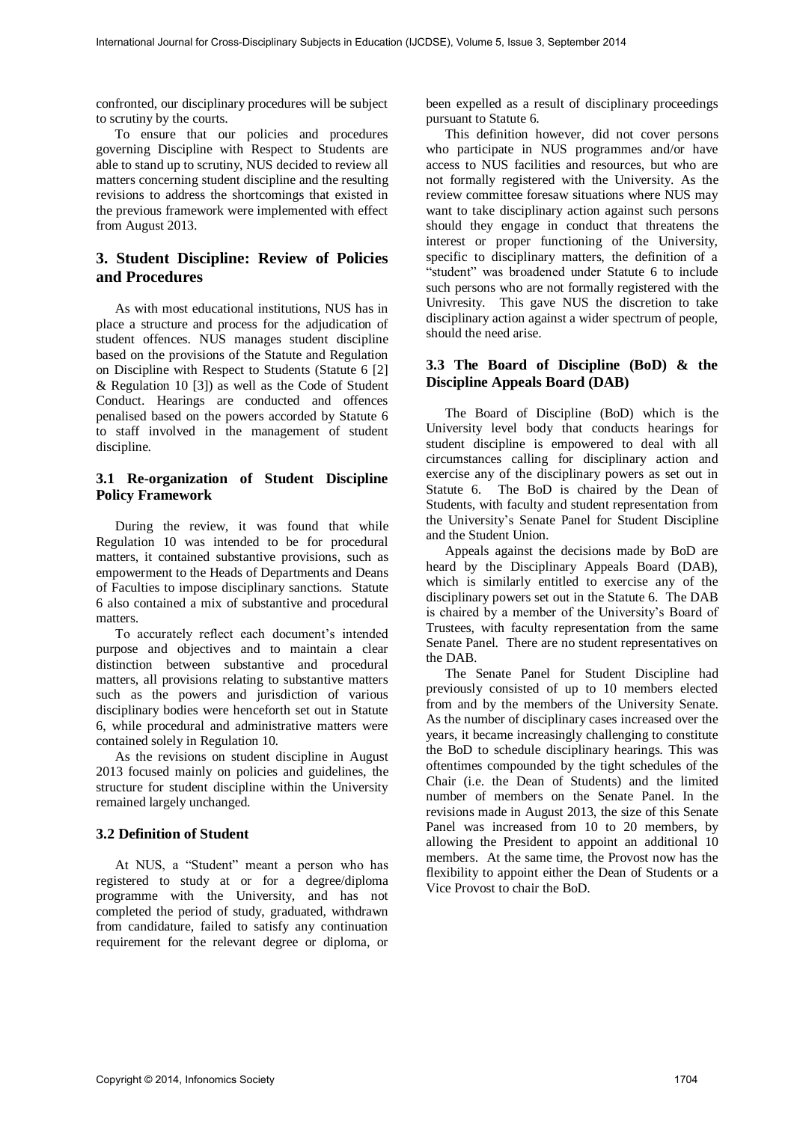confronted, our disciplinary procedures will be subject to scrutiny by the courts.

To ensure that our policies and procedures governing Discipline with Respect to Students are able to stand up to scrutiny, NUS decided to review all matters concerning student discipline and the resulting revisions to address the shortcomings that existed in the previous framework were implemented with effect from August 2013.

# **3. Student Discipline: Review of Policies and Procedures**

As with most educational institutions, NUS has in place a structure and process for the adjudication of student offences. NUS manages student discipline based on the provisions of the Statute and Regulation on Discipline with Respect to Students (Statute 6 [2] & Regulation 10 [3]) as well as the Code of Student Conduct. Hearings are conducted and offences penalised based on the powers accorded by Statute 6 to staff involved in the management of student discipline.

# **3.1 Re-organization of Student Discipline Policy Framework**

During the review, it was found that while Regulation 10 was intended to be for procedural matters, it contained substantive provisions, such as empowerment to the Heads of Departments and Deans of Faculties to impose disciplinary sanctions. Statute 6 also contained a mix of substantive and procedural matters.

To accurately reflect each document's intended purpose and objectives and to maintain a clear distinction between substantive and procedural matters, all provisions relating to substantive matters such as the powers and jurisdiction of various disciplinary bodies were henceforth set out in Statute 6, while procedural and administrative matters were contained solely in Regulation 10.

As the revisions on student discipline in August 2013 focused mainly on policies and guidelines, the structure for student discipline within the University remained largely unchanged.

## **3.2 Definition of Student**

At NUS, a "Student" meant a person who has registered to study at or for a degree/diploma programme with the University, and has not completed the period of study, graduated, withdrawn from candidature, failed to satisfy any continuation requirement for the relevant degree or diploma, or been expelled as a result of disciplinary proceedings pursuant to Statute 6.

This definition however, did not cover persons who participate in NUS programmes and/or have access to NUS facilities and resources, but who are not formally registered with the University. As the review committee foresaw situations where NUS may want to take disciplinary action against such persons should they engage in conduct that threatens the interest or proper functioning of the University, specific to disciplinary matters, the definition of a "student" was broadened under Statute 6 to include such persons who are not formally registered with the Univresity. This gave NUS the discretion to take disciplinary action against a wider spectrum of people, should the need arise.

## **3.3 The Board of Discipline (BoD) & the Discipline Appeals Board (DAB)**

The Board of Discipline (BoD) which is the University level body that conducts hearings for student discipline is empowered to deal with all circumstances calling for disciplinary action and exercise any of the disciplinary powers as set out in Statute 6. The BoD is chaired by the Dean of Students, with faculty and student representation from the University's Senate Panel for Student Discipline and the Student Union.

Appeals against the decisions made by BoD are heard by the Disciplinary Appeals Board (DAB), which is similarly entitled to exercise any of the disciplinary powers set out in the Statute 6. The DAB is chaired by a member of the University's Board of Trustees, with faculty representation from the same Senate Panel. There are no student representatives on the DAB.

The Senate Panel for Student Discipline had previously consisted of up to 10 members elected from and by the members of the University Senate. As the number of disciplinary cases increased over the years, it became increasingly challenging to constitute the BoD to schedule disciplinary hearings. This was oftentimes compounded by the tight schedules of the Chair (i.e. the Dean of Students) and the limited number of members on the Senate Panel. In the revisions made in August 2013, the size of this Senate Panel was increased from 10 to 20 members, by allowing the President to appoint an additional 10 members. At the same time, the Provost now has the flexibility to appoint either the Dean of Students or a Vice Provost to chair the BoD.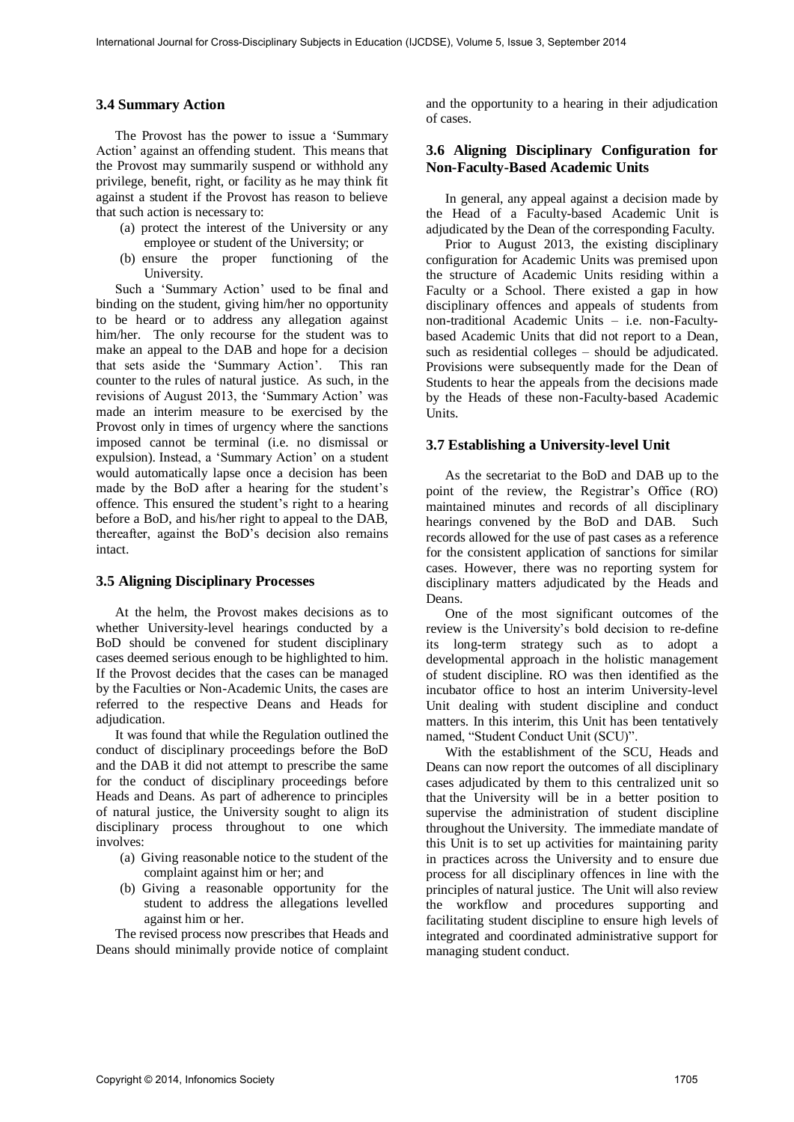#### **3.4 Summary Action**

The Provost has the power to issue a 'Summary Action' against an offending student. This means that the Provost may summarily suspend or withhold any privilege, benefit, right, or facility as he may think fit against a student if the Provost has reason to believe that such action is necessary to:

- (a) protect the interest of the University or any employee or student of the University; or
- (b) ensure the proper functioning of the University.

Such a 'Summary Action' used to be final and binding on the student, giving him/her no opportunity to be heard or to address any allegation against him/her. The only recourse for the student was to make an appeal to the DAB and hope for a decision that sets aside the 'Summary Action'. This ran counter to the rules of natural justice. As such, in the revisions of August 2013, the 'Summary Action' was made an interim measure to be exercised by the Provost only in times of urgency where the sanctions imposed cannot be terminal (i.e. no dismissal or expulsion). Instead, a 'Summary Action' on a student would automatically lapse once a decision has been made by the BoD after a hearing for the student's offence. This ensured the student's right to a hearing before a BoD, and his/her right to appeal to the DAB, thereafter, against the BoD's decision also remains intact.

#### **3.5 Aligning Disciplinary Processes**

At the helm, the Provost makes decisions as to whether University-level hearings conducted by a BoD should be convened for student disciplinary cases deemed serious enough to be highlighted to him. If the Provost decides that the cases can be managed by the Faculties or Non-Academic Units, the cases are referred to the respective Deans and Heads for adjudication.

It was found that while the Regulation outlined the conduct of disciplinary proceedings before the BoD and the DAB it did not attempt to prescribe the same for the conduct of disciplinary proceedings before Heads and Deans. As part of adherence to principles of natural justice, the University sought to align its disciplinary process throughout to one which involves:

- (a) Giving reasonable notice to the student of the complaint against him or her; and
- (b) Giving a reasonable opportunity for the student to address the allegations levelled against him or her.

The revised process now prescribes that Heads and Deans should minimally provide notice of complaint and the opportunity to a hearing in their adjudication of cases.

#### **3.6 Aligning Disciplinary Configuration for Non-Faculty-Based Academic Units**

In general, any appeal against a decision made by the Head of a Faculty-based Academic Unit is adjudicated by the Dean of the corresponding Faculty.

Prior to August 2013, the existing disciplinary configuration for Academic Units was premised upon the structure of Academic Units residing within a Faculty or a School. There existed a gap in how disciplinary offences and appeals of students from non-traditional Academic Units – i.e. non-Facultybased Academic Units that did not report to a Dean, such as residential colleges – should be adjudicated. Provisions were subsequently made for the Dean of Students to hear the appeals from the decisions made by the Heads of these non-Faculty-based Academic Units.

#### **3.7 Establishing a University-level Unit**

As the secretariat to the BoD and DAB up to the point of the review, the Registrar's Office (RO) maintained minutes and records of all disciplinary hearings convened by the BoD and DAB. Such records allowed for the use of past cases as a reference for the consistent application of sanctions for similar cases. However, there was no reporting system for disciplinary matters adjudicated by the Heads and Deans.

One of the most significant outcomes of the review is the University's bold decision to re-define its long-term strategy such as to adopt a developmental approach in the holistic management of student discipline. RO was then identified as the incubator office to host an interim University-level Unit dealing with student discipline and conduct matters. In this interim, this Unit has been tentatively named, "Student Conduct Unit (SCU)".

With the establishment of the SCU, Heads and Deans can now report the outcomes of all disciplinary cases adjudicated by them to this centralized unit so that the University will be in a better position to supervise the administration of student discipline throughout the University. The immediate mandate of this Unit is to set up activities for maintaining parity in practices across the University and to ensure due process for all disciplinary offences in line with the principles of natural justice. The Unit will also review the workflow and procedures supporting and facilitating student discipline to ensure high levels of integrated and coordinated administrative support for managing student conduct.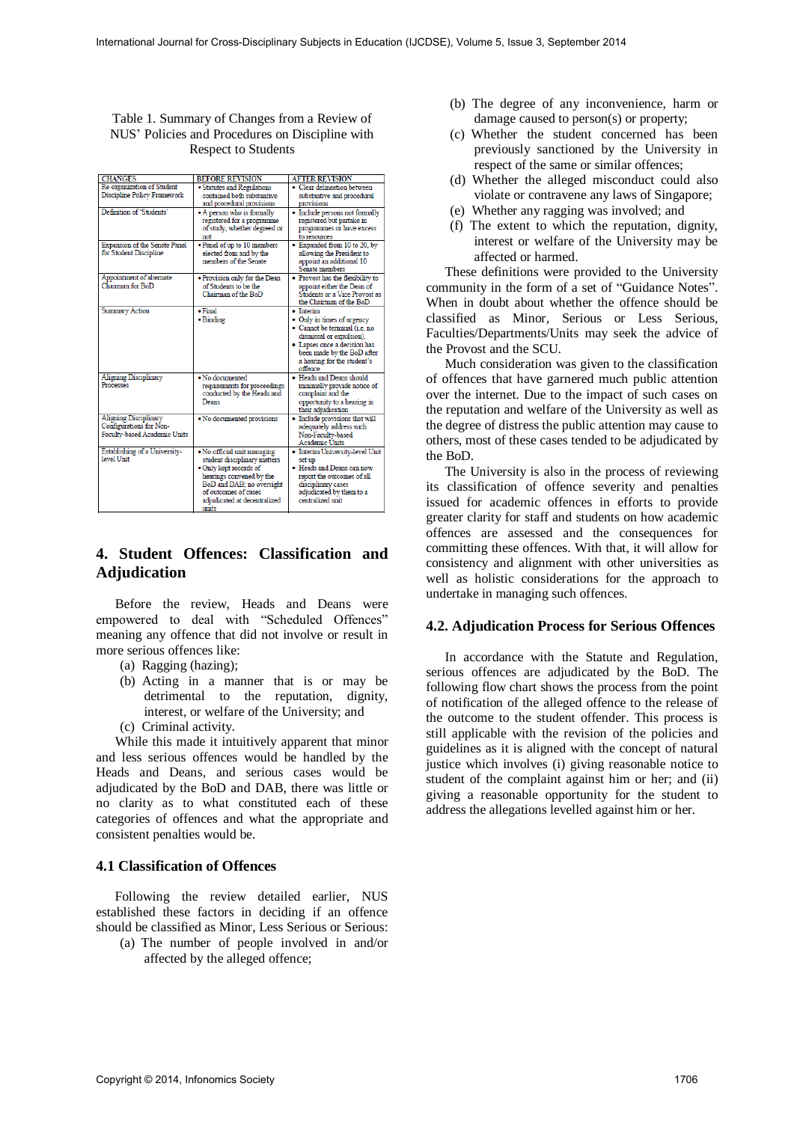Table 1. Summary of Changes from a Review of NUS' Policies and Procedures on Discipline with Respect to Students

| <b>CHANGES</b>                                                                                 | <b>BEFORE REVISION</b>                                                                                                                                                                                 | <b>AFTER REVISION</b>                                                                                                                                                                                        |
|------------------------------------------------------------------------------------------------|--------------------------------------------------------------------------------------------------------------------------------------------------------------------------------------------------------|--------------------------------------------------------------------------------------------------------------------------------------------------------------------------------------------------------------|
| Re-organization of Student<br>Discipline Policy Framework                                      | · Statutes and Regulations<br>contained both substantive<br>and procedural provisions                                                                                                                  | • Clear delineation between<br>substantive and procedural<br>provisions                                                                                                                                      |
| Definition of 'Students'                                                                       | • A person who is formally<br>registered for a programme<br>of study, whether degreed or<br>not                                                                                                        | • Include persons not formally<br>registered but partake in<br>programmes or have excess<br>to resources                                                                                                     |
| <b>Expansion of the Senate Panel</b><br>for Student Discipline                                 | • Panel of up to 10 members<br>elected from and by the<br>members of the Senate                                                                                                                        | • Expanded from 10 to 20, by<br>allowing the President to<br>appoint an additional 10<br>Senate members                                                                                                      |
| Appointment of alternate<br>Chairman for BoD                                                   | • Provision only for the Dean<br>of Students to be the<br>Chairman of the BoD                                                                                                                          | • Provost has the flexibility to<br>appoint either the Dean of<br>Students or a Vice Provost as<br>the Chairman of the BoD                                                                                   |
| <b>Summary Action</b>                                                                          | $\bullet$ Final<br>• Binding                                                                                                                                                                           | • Interim<br>• Only in times of urgency<br>• Cannot be terminal (i.e. no<br>dismissal or expulsion).<br>• Lapses once a decision has<br>been made by the BoD after<br>a hearing for the student's<br>offence |
| <b>Aligning Disciplinary</b><br>Processes                                                      | · No documented<br>requirements for proceedings<br>conducted by the Heads and<br>Deans                                                                                                                 | • Heads and Deans should<br>minimally provide notice of<br>complaint and the<br>opportunity to a hearing in<br>their adjudication                                                                            |
| <b>Aligning Disciplinary</b><br><b>Configurations</b> for Non-<br>Faculty-based Academic Units | • No documented provisions                                                                                                                                                                             | • Include provisions that will<br>adequately address such<br>Non-Faculty-based<br><b>Academic Units</b>                                                                                                      |
| Establishing of a University-<br>level Unit                                                    | . No official unit managing<br>student disciplinary matters<br>. Only kept records of<br>hearings convened by the<br>BoD and DAB; no oversight<br>of outcomes of cases<br>adjudicated at decentralized | • Interim University-level Unit<br>set up<br>• Heads and Deans can now<br>report the outcomes of all<br>disciplinary cases<br>adjudicated by them to a<br>centralized unit                                   |

# **4. Student Offences: Classification and Adjudication**

Before the review, Heads and Deans were empowered to deal with "Scheduled Offences" meaning any offence that did not involve or result in more serious offences like:

- (a) Ragging (hazing);
- (b) Acting in a manner that is or may be detrimental to the reputation, dignity, interest, or welfare of the University; and
- (c) Criminal activity.

While this made it intuitively apparent that minor and less serious offences would be handled by the Heads and Deans, and serious cases would be adjudicated by the BoD and DAB, there was little or no clarity as to what constituted each of these categories of offences and what the appropriate and consistent penalties would be.

## **4.1 Classification of Offences**

Following the review detailed earlier, NUS established these factors in deciding if an offence should be classified as Minor, Less Serious or Serious:

(a) The number of people involved in and/or affected by the alleged offence;

- (b) The degree of any inconvenience, harm or damage caused to person(s) or property;
- (c) Whether the student concerned has been previously sanctioned by the University in respect of the same or similar offences;
- (d) Whether the alleged misconduct could also violate or contravene any laws of Singapore;
- (e) Whether any ragging was involved; and
- (f) The extent to which the reputation, dignity, interest or welfare of the University may be affected or harmed.

These definitions were provided to the University community in the form of a set of "Guidance Notes". When in doubt about whether the offence should be classified as Minor, Serious or Less Serious, Faculties/Departments/Units may seek the advice of the Provost and the SCU.

Much consideration was given to the classification of offences that have garnered much public attention over the internet. Due to the impact of such cases on the reputation and welfare of the University as well as the degree of distress the public attention may cause to others, most of these cases tended to be adjudicated by the BoD.

The University is also in the process of reviewing its classification of offence severity and penalties issued for academic offences in efforts to provide greater clarity for staff and students on how academic offences are assessed and the consequences for committing these offences. With that, it will allow for consistency and alignment with other universities as well as holistic considerations for the approach to undertake in managing such offences.

## **4.2. Adjudication Process for Serious Offences**

In accordance with the Statute and Regulation, serious offences are adjudicated by the BoD. The following flow chart shows the process from the point of notification of the alleged offence to the release of the outcome to the student offender. This process is still applicable with the revision of the policies and guidelines as it is aligned with the concept of natural justice which involves (i) giving reasonable notice to student of the complaint against him or her; and (ii) giving a reasonable opportunity for the student to address the allegations levelled against him or her.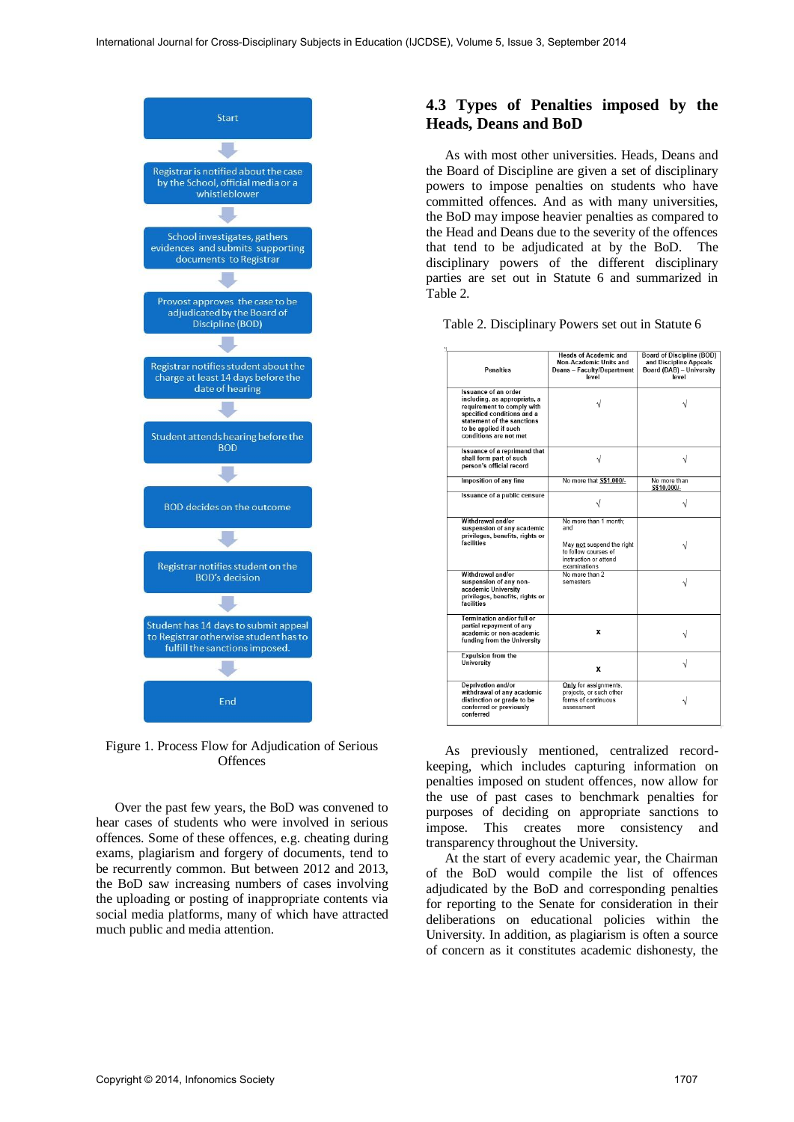

Figure 1. Process Flow for Adjudication of Serious **Offences** 

Over the past few years, the BoD was convened to hear cases of students who were involved in serious offences. Some of these offences, e.g. cheating during exams, plagiarism and forgery of documents, tend to be recurrently common. But between 2012 and 2013, the BoD saw increasing numbers of cases involving the uploading or posting of inappropriate contents via social media platforms, many of which have attracted much public and media attention.

## **4.3 Types of Penalties imposed by the Heads, Deans and BoD**

As with most other universities. Heads, Deans and the Board of Discipline are given a set of disciplinary powers to impose penalties on students who have committed offences. And as with many universities, the BoD may impose heavier penalties as compared to the Head and Deans due to the severity of the offences that tend to be adjudicated at by the BoD. The disciplinary powers of the different disciplinary parties are set out in Statute 6 and summarized in Table 2.

| <b>Penalties</b>                                                                                                                                                                                         | <b>Heads of Academic and</b><br>Non-Academic Units and<br><b>Deans - Faculty/Department</b><br>level                       | <b>Board of Discipline (BOD)</b><br>and Discipline Appeals<br>Board (DAB) - University<br>level |
|----------------------------------------------------------------------------------------------------------------------------------------------------------------------------------------------------------|----------------------------------------------------------------------------------------------------------------------------|-------------------------------------------------------------------------------------------------|
| <b>Issuance of an order</b><br>including, as appropriate, a<br>requirement to comply with<br>specified conditions and a<br>statement of the sanctions<br>to be applied if such<br>conditions are not met |                                                                                                                            |                                                                                                 |
| <b>Issuance of a reprimand that</b><br>shall form part of such<br>person's official record                                                                                                               |                                                                                                                            |                                                                                                 |
| Imposition of any fine                                                                                                                                                                                   | No more that S\$1,000/-                                                                                                    | No more than<br>S\$10.000/-                                                                     |
| Issuance of a public censure                                                                                                                                                                             |                                                                                                                            |                                                                                                 |
| Withdrawal and/or<br>suspension of any academic<br>privileges, benefits, rights or<br>facilities                                                                                                         | No more than 1 month:<br>and<br>May not suspend the right<br>to follow courses of<br>instruction or attend<br>examinations |                                                                                                 |
| Withdrawal and/or<br>suspension of any non-<br>academic University<br>privileges, benefits, rights or<br>facilities                                                                                      | No more than 2<br>semesters                                                                                                |                                                                                                 |
| Termination and/or full or<br>partial repayment of any<br>academic or non-academic<br>funding from the University                                                                                        | x                                                                                                                          |                                                                                                 |
| <b>Expulsion from the</b><br><b>University</b>                                                                                                                                                           | x                                                                                                                          |                                                                                                 |
| Deprivation and/or<br>withdrawal of any academic<br>distinction or grade to be<br>conferred or previously<br>conferred                                                                                   | Only for assignments,<br>projects, or such other<br>forms of continuous<br>assessment                                      |                                                                                                 |

As previously mentioned, centralized recordkeeping, which includes capturing information on penalties imposed on student offences, now allow for the use of past cases to benchmark penalties for purposes of deciding on appropriate sanctions to impose. This creates more consistency and transparency throughout the University.

At the start of every academic year, the Chairman of the BoD would compile the list of offences adjudicated by the BoD and corresponding penalties for reporting to the Senate for consideration in their deliberations on educational policies within the University. In addition, as plagiarism is often a source of concern as it constitutes academic dishonesty, the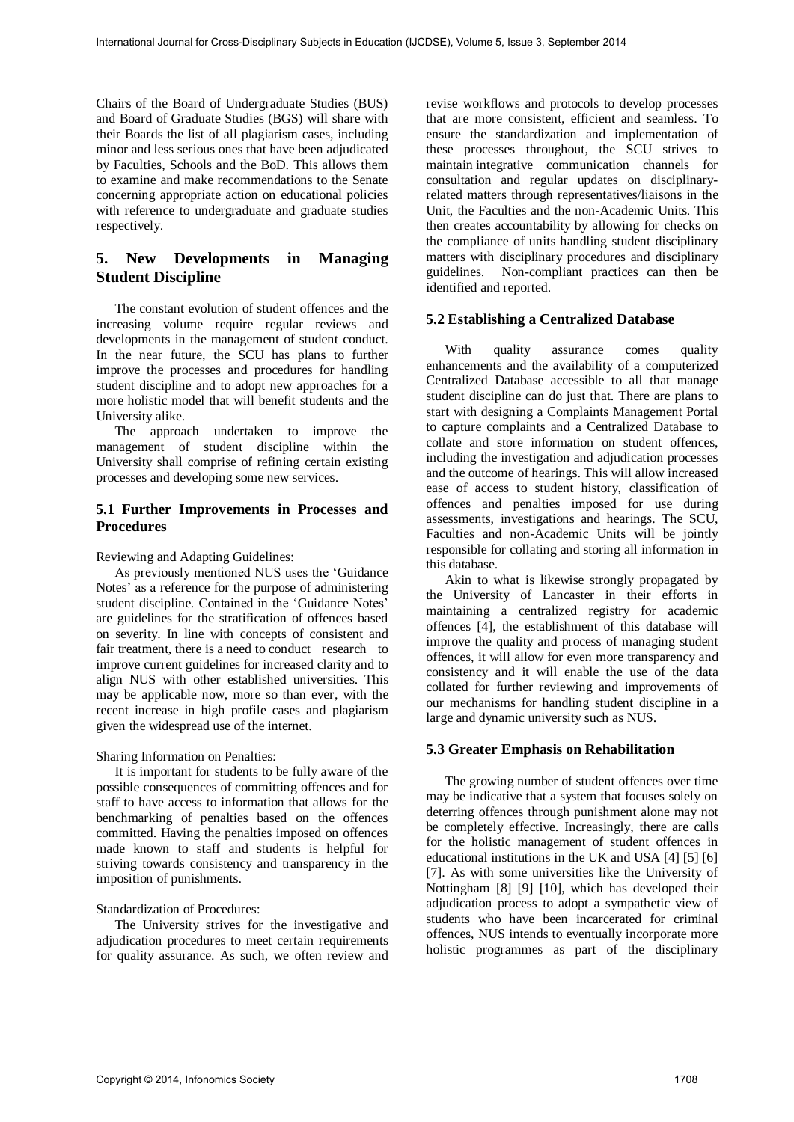Chairs of the Board of Undergraduate Studies (BUS) and Board of Graduate Studies (BGS) will share with their Boards the list of all plagiarism cases, including minor and less serious ones that have been adjudicated by Faculties, Schools and the BoD. This allows them to examine and make recommendations to the Senate concerning appropriate action on educational policies with reference to undergraduate and graduate studies respectively.

# **5. New Developments in Managing Student Discipline**

The constant evolution of student offences and the increasing volume require regular reviews and developments in the management of student conduct. In the near future, the SCU has plans to further improve the processes and procedures for handling student discipline and to adopt new approaches for a more holistic model that will benefit students and the University alike.

The approach undertaken to improve the management of student discipline within the University shall comprise of refining certain existing processes and developing some new services.

## **5.1 Further Improvements in Processes and Procedures**

Reviewing and Adapting Guidelines:

As previously mentioned NUS uses the 'Guidance Notes' as a reference for the purpose of administering student discipline. Contained in the 'Guidance Notes' are guidelines for the stratification of offences based on severity. In line with concepts of consistent and fair treatment, there is a need to conduct research to improve current guidelines for increased clarity and to align NUS with other established universities. This may be applicable now, more so than ever, with the recent increase in high profile cases and plagiarism given the widespread use of the internet.

Sharing Information on Penalties:

It is important for students to be fully aware of the possible consequences of committing offences and for staff to have access to information that allows for the benchmarking of penalties based on the offences committed. Having the penalties imposed on offences made known to staff and students is helpful for striving towards consistency and transparency in the imposition of punishments.

#### Standardization of Procedures:

The University strives for the investigative and adjudication procedures to meet certain requirements for quality assurance. As such, we often review and revise workflows and protocols to develop processes that are more consistent, efficient and seamless. To ensure the standardization and implementation of these processes throughout, the SCU strives to maintain integrative communication channels for consultation and regular updates on disciplinaryrelated matters through representatives/liaisons in the Unit, the Faculties and the non-Academic Units. This then creates accountability by allowing for checks on the compliance of units handling student disciplinary matters with disciplinary procedures and disciplinary guidelines. Non-compliant practices can then be identified and reported.

#### **5.2 Establishing a Centralized Database**

With quality assurance comes quality enhancements and the availability of a computerized Centralized Database accessible to all that manage student discipline can do just that. There are plans to start with designing a Complaints Management Portal to capture complaints and a Centralized Database to collate and store information on student offences, including the investigation and adjudication processes and the outcome of hearings. This will allow increased ease of access to student history, classification of offences and penalties imposed for use during assessments, investigations and hearings. The SCU, Faculties and non-Academic Units will be jointly responsible for collating and storing all information in this database.

Akin to what is likewise strongly propagated by the University of Lancaster in their efforts in maintaining a centralized registry for academic offences [4], the establishment of this database will improve the quality and process of managing student offences, it will allow for even more transparency and consistency and it will enable the use of the data collated for further reviewing and improvements of our mechanisms for handling student discipline in a large and dynamic university such as NUS.

#### **5.3 Greater Emphasis on Rehabilitation**

The growing number of student offences over time may be indicative that a system that focuses solely on deterring offences through punishment alone may not be completely effective. Increasingly, there are calls for the holistic management of student offences in educational institutions in the UK and USA [4] [5] [6] [7]. As with some universities like the University of Nottingham [8] [9] [10], which has developed their adjudication process to adopt a sympathetic view of students who have been incarcerated for criminal offences, NUS intends to eventually incorporate more holistic programmes as part of the disciplinary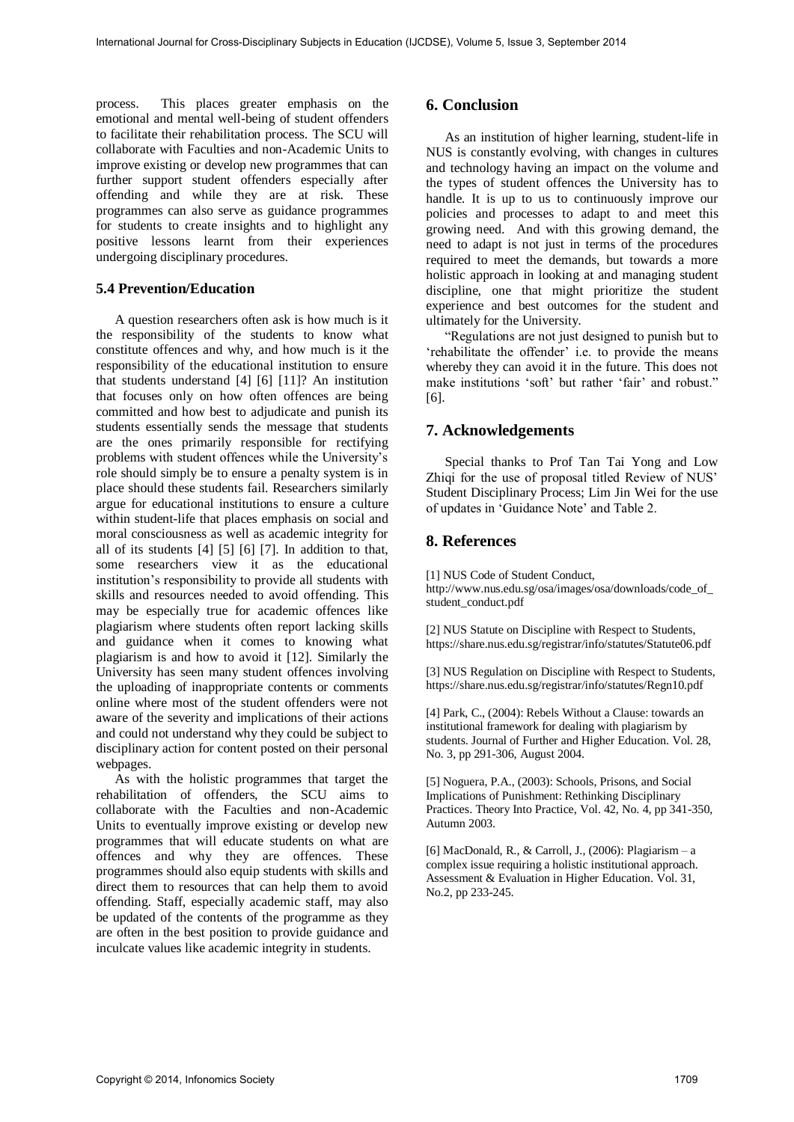process. This places greater emphasis on the emotional and mental well-being of student offenders to facilitate their rehabilitation process. The SCU will collaborate with Faculties and non-Academic Units to improve existing or develop new programmes that can further support student offenders especially after offending and while they are at risk. These programmes can also serve as guidance programmes for students to create insights and to highlight any positive lessons learnt from their experiences undergoing disciplinary procedures.

#### **5.4 Prevention/Education**

A question researchers often ask is how much is it the responsibility of the students to know what constitute offences and why, and how much is it the responsibility of the educational institution to ensure that students understand [4] [6] [11]? An institution that focuses only on how often offences are being committed and how best to adjudicate and punish its students essentially sends the message that students are the ones primarily responsible for rectifying problems with student offences while the University's role should simply be to ensure a penalty system is in place should these students fail. Researchers similarly argue for educational institutions to ensure a culture within student-life that places emphasis on social and moral consciousness as well as academic integrity for all of its students [4] [5] [6] [7]. In addition to that, some researchers view it as the educational institution's responsibility to provide all students with skills and resources needed to avoid offending. This may be especially true for academic offences like plagiarism where students often report lacking skills and guidance when it comes to knowing what plagiarism is and how to avoid it [12]. Similarly the University has seen many student offences involving the uploading of inappropriate contents or comments online where most of the student offenders were not aware of the severity and implications of their actions and could not understand why they could be subject to disciplinary action for content posted on their personal webpages.

As with the holistic programmes that target the rehabilitation of offenders, the SCU aims to collaborate with the Faculties and non-Academic Units to eventually improve existing or develop new programmes that will educate students on what are offences and why they are offences. These programmes should also equip students with skills and direct them to resources that can help them to avoid offending. Staff, especially academic staff, may also be updated of the contents of the programme as they are often in the best position to provide guidance and inculcate values like academic integrity in students.

#### **6. Conclusion**

As an institution of higher learning, student-life in NUS is constantly evolving, with changes in cultures and technology having an impact on the volume and the types of student offences the University has to handle. It is up to us to continuously improve our policies and processes to adapt to and meet this growing need. And with this growing demand, the need to adapt is not just in terms of the procedures required to meet the demands, but towards a more holistic approach in looking at and managing student discipline, one that might prioritize the student experience and best outcomes for the student and ultimately for the University.

"Regulations are not just designed to punish but to 'rehabilitate the offender' i.e. to provide the means whereby they can avoid it in the future. This does not make institutions 'soft' but rather 'fair' and robust." [6].

# **7. Acknowledgements**

Special thanks to Prof Tan Tai Yong and Low Zhiqi for the use of proposal titled Review of NUS' Student Disciplinary Process; Lim Jin Wei for the use of updates in 'Guidance Note' and Table 2.

## **8. References**

[1] NUS Code of Student Conduct, http://www.nus.edu.sg/osa/images/osa/downloads/code\_of\_ student\_conduct.pdf

[2] NUS Statute on Discipline with Respect to Students, https://share.nus.edu.sg/registrar/info/statutes/Statute06.pdf

[3] NUS Regulation on Discipline with Respect to Students, https://share.nus.edu.sg/registrar/info/statutes/Regn10.pdf

[4] Park, C., (2004): Rebels Without a Clause: towards an institutional framework for dealing with plagiarism by students. Journal of Further and Higher Education. Vol. 28, No. 3, pp 291-306, August 2004.

[5] Noguera, P.A., (2003): Schools, Prisons, and Social Implications of Punishment: Rethinking Disciplinary Practices. Theory Into Practice, Vol. 42, No. 4, pp 341-350, Autumn 2003.

[6] MacDonald, R., & Carroll, J., (2006): Plagiarism – a complex issue requiring a holistic institutional approach. Assessment & Evaluation in Higher Education. Vol. 31, No.2, pp 233-245.